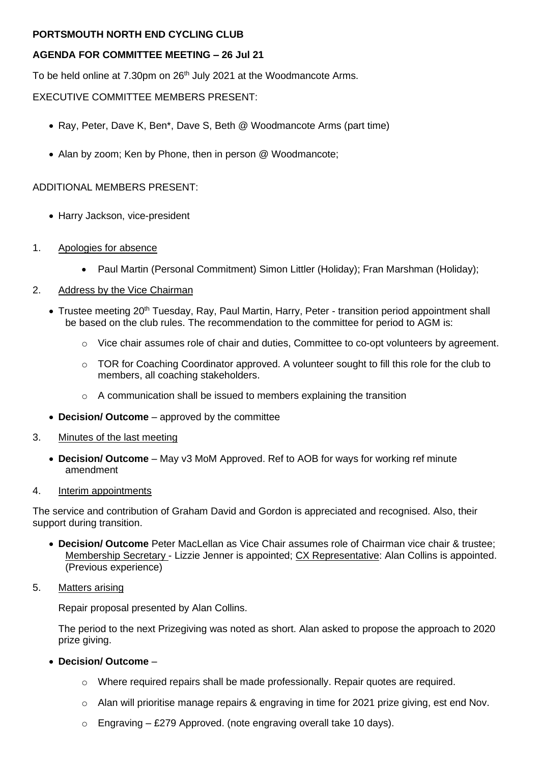## **PORTSMOUTH NORTH END CYCLING CLUB**

## **AGENDA FOR COMMITTEE MEETING – 26 Jul 21**

To be held online at 7.30pm on 26<sup>th</sup> July 2021 at the Woodmancote Arms.

## EXECUTIVE COMMITTEE MEMBERS PRESENT:

- Ray, Peter, Dave K, Ben\*, Dave S, Beth @ Woodmancote Arms (part time)
- Alan by zoom; Ken by Phone, then in person @ Woodmancote;

### ADDITIONAL MEMBERS PRESENT:

- Harry Jackson, vice-president
- 1. Apologies for absence
	- Paul Martin (Personal Commitment) Simon Littler (Holiday); Fran Marshman (Holiday);

#### 2. Address by the Vice Chairman

- Trustee meeting 20<sup>th</sup> Tuesday, Ray, Paul Martin, Harry, Peter transition period appointment shall be based on the club rules. The recommendation to the committee for period to AGM is:
	- o Vice chair assumes role of chair and duties, Committee to co-opt volunteers by agreement.
	- $\circ$  TOR for Coaching Coordinator approved. A volunteer sought to fill this role for the club to members, all coaching stakeholders.
	- o A communication shall be issued to members explaining the transition
- **Decision/ Outcome** approved by the committee
- 3. Minutes of the last meeting
	- **Decision/ Outcome** May v3 MoM Approved. Ref to AOB for ways for working ref minute amendment

#### 4. Interim appointments

The service and contribution of Graham David and Gordon is appreciated and recognised. Also, their support during transition.

- **Decision/ Outcome** Peter MacLellan as Vice Chair assumes role of Chairman vice chair & trustee; Membership Secretary - Lizzie Jenner is appointed; CX Representative: Alan Collins is appointed. (Previous experience)
- 5. Matters arising

Repair proposal presented by Alan Collins.

The period to the next Prizegiving was noted as short. Alan asked to propose the approach to 2020 prize giving.

- **Decision/ Outcome**
	- $\circ$  Where required repairs shall be made professionally. Repair quotes are required.
	- $\circ$  Alan will prioritise manage repairs & engraving in time for 2021 prize giving, est end Nov.
	- $\circ$  Engraving £279 Approved. (note engraving overall take 10 days).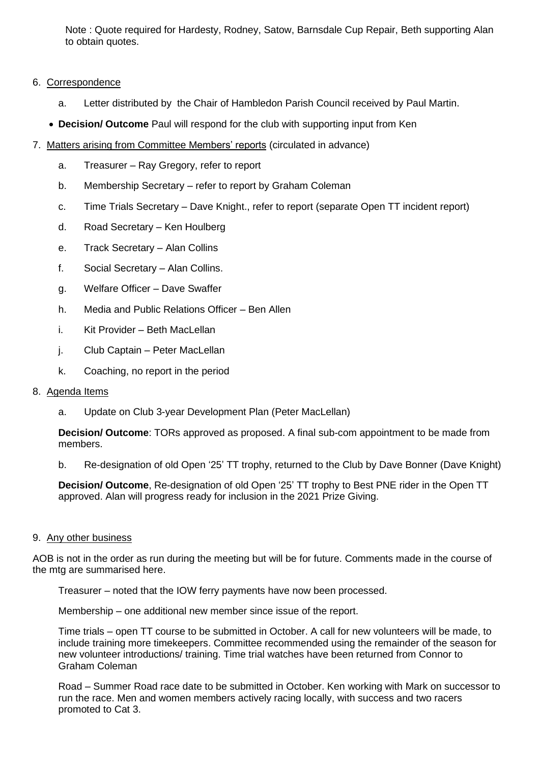Note : Quote required for Hardesty, Rodney, Satow, Barnsdale Cup Repair, Beth supporting Alan to obtain quotes.

#### 6. Correspondence

- a. Letter distributed by the Chair of Hambledon Parish Council received by Paul Martin.
- **Decision/ Outcome** Paul will respond for the club with supporting input from Ken
- 7. Matters arising from Committee Members' reports (circulated in advance)
	- a. Treasurer Ray Gregory, refer to report
	- b. Membership Secretary refer to report by Graham Coleman
	- c. Time Trials Secretary Dave Knight., refer to report (separate Open TT incident report)
	- d. Road Secretary Ken Houlberg
	- e. Track Secretary Alan Collins
	- f. Social Secretary Alan Collins.
	- g. Welfare Officer Dave Swaffer
	- h. Media and Public Relations Officer Ben Allen
	- i. Kit Provider Beth MacLellan
	- j. Club Captain Peter MacLellan
	- k. Coaching, no report in the period

#### 8. Agenda Items

a. Update on Club 3-year Development Plan (Peter MacLellan)

**Decision/ Outcome**: TORs approved as proposed. A final sub-com appointment to be made from members.

b. Re-designation of old Open '25' TT trophy, returned to the Club by Dave Bonner (Dave Knight)

**Decision/ Outcome**, Re-designation of old Open '25' TT trophy to Best PNE rider in the Open TT approved. Alan will progress ready for inclusion in the 2021 Prize Giving.

#### 9. Any other business

AOB is not in the order as run during the meeting but will be for future. Comments made in the course of the mtg are summarised here.

Treasurer – noted that the IOW ferry payments have now been processed.

Membership – one additional new member since issue of the report.

Time trials – open TT course to be submitted in October. A call for new volunteers will be made, to include training more timekeepers. Committee recommended using the remainder of the season for new volunteer introductions/ training. Time trial watches have been returned from Connor to Graham Coleman

Road – Summer Road race date to be submitted in October. Ken working with Mark on successor to run the race. Men and women members actively racing locally, with success and two racers promoted to Cat 3.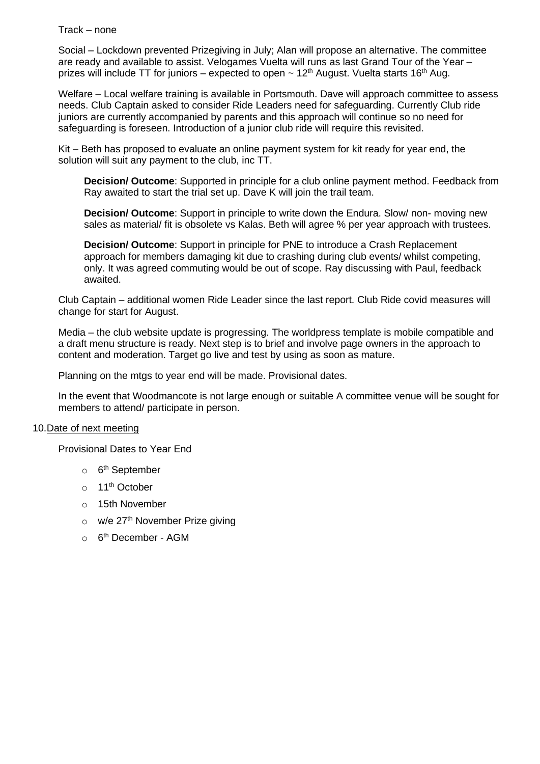Track – none

Social – Lockdown prevented Prizegiving in July; Alan will propose an alternative. The committee are ready and available to assist. Velogames Vuelta will runs as last Grand Tour of the Year – prizes will include TT for juniors – expected to open  $\sim 12^{th}$  August. Vuelta starts 16<sup>th</sup> Aug.

Welfare – Local welfare training is available in Portsmouth. Dave will approach committee to assess needs. Club Captain asked to consider Ride Leaders need for safeguarding. Currently Club ride juniors are currently accompanied by parents and this approach will continue so no need for safeguarding is foreseen. Introduction of a junior club ride will require this revisited.

Kit – Beth has proposed to evaluate an online payment system for kit ready for year end, the solution will suit any payment to the club, inc TT.

**Decision/ Outcome**: Supported in principle for a club online payment method. Feedback from Ray awaited to start the trial set up. Dave K will join the trail team.

**Decision/ Outcome**: Support in principle to write down the Endura. Slow/ non- moving new sales as material/ fit is obsolete vs Kalas. Beth will agree % per year approach with trustees.

**Decision/ Outcome**: Support in principle for PNE to introduce a Crash Replacement approach for members damaging kit due to crashing during club events/ whilst competing, only. It was agreed commuting would be out of scope. Ray discussing with Paul, feedback awaited.

Club Captain – additional women Ride Leader since the last report. Club Ride covid measures will change for start for August.

Media – the club website update is progressing. The worldpress template is mobile compatible and a draft menu structure is ready. Next step is to brief and involve page owners in the approach to content and moderation. Target go live and test by using as soon as mature.

Planning on the mtgs to year end will be made. Provisional dates.

In the event that Woodmancote is not large enough or suitable A committee venue will be sought for members to attend/ participate in person.

#### 10.Date of next meeting

Provisional Dates to Year End

- o 6<sup>th</sup> September
- o 11<sup>th</sup> October
- o 15th November
- $\circ$  w/e 27<sup>th</sup> November Prize giving
- o 6<sup>th</sup> December AGM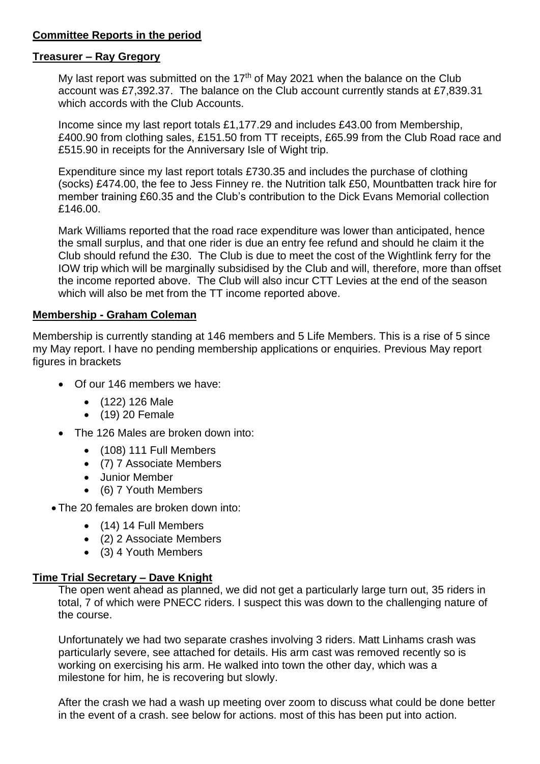# **Committee Reports in the period**

#### **Treasurer – Ray Gregory**

My last report was submitted on the  $17<sup>th</sup>$  of May 2021 when the balance on the Club account was £7,392.37. The balance on the Club account currently stands at £7,839.31 which accords with the Club Accounts.

Income since my last report totals £1,177.29 and includes £43.00 from Membership, £400.90 from clothing sales, £151.50 from TT receipts, £65.99 from the Club Road race and £515.90 in receipts for the Anniversary Isle of Wight trip.

Expenditure since my last report totals £730.35 and includes the purchase of clothing (socks) £474.00, the fee to Jess Finney re. the Nutrition talk £50, Mountbatten track hire for member training £60.35 and the Club's contribution to the Dick Evans Memorial collection £146.00.

Mark Williams reported that the road race expenditure was lower than anticipated, hence the small surplus, and that one rider is due an entry fee refund and should he claim it the Club should refund the £30. The Club is due to meet the cost of the Wightlink ferry for the IOW trip which will be marginally subsidised by the Club and will, therefore, more than offset the income reported above. The Club will also incur CTT Levies at the end of the season which will also be met from the TT income reported above.

## **Membership - Graham Coleman**

Membership is currently standing at 146 members and 5 Life Members. This is a rise of 5 since my May report. I have no pending membership applications or enquiries. Previous May report figures in brackets

- Of our 146 members we have:
	- (122) 126 Male
	- (19) 20 Female
- The 126 Males are broken down into:
	- (108) 111 Full Members
	- (7) 7 Associate Members
	- Junior Member
	- (6) 7 Youth Members
- The 20 females are broken down into:
	- (14) 14 Full Members
	- (2) 2 Associate Members
	- (3) 4 Youth Members

# **Time Trial Secretary – Dave Knight**

The open went ahead as planned, we did not get a particularly large turn out, 35 riders in total, 7 of which were PNECC riders. I suspect this was down to the challenging nature of the course.

Unfortunately we had two separate crashes involving 3 riders. Matt Linhams crash was particularly severe, see attached for details. His arm cast was removed recently so is working on exercising his arm. He walked into town the other day, which was a milestone for him, he is recovering but slowly.

After the crash we had a wash up meeting over zoom to discuss what could be done better in the event of a crash. see below for actions. most of this has been put into action.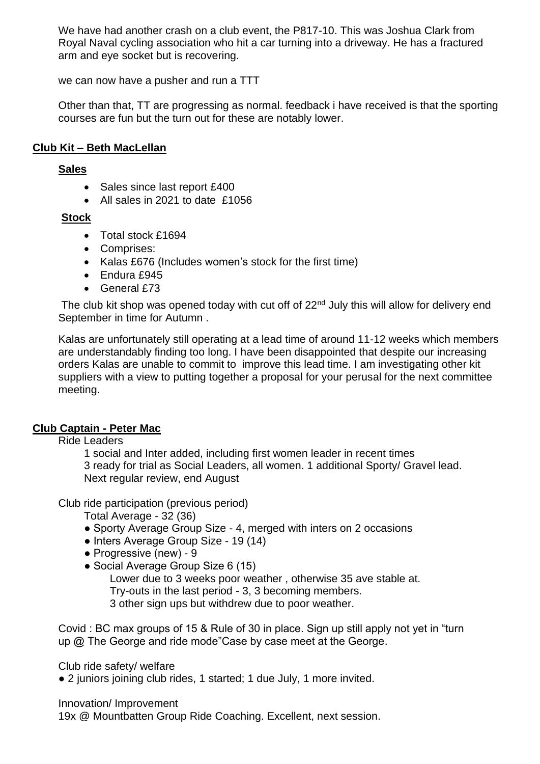We have had another crash on a club event, the P817-10. This was Joshua Clark from Royal Naval cycling association who hit a car turning into a driveway. He has a fractured arm and eye socket but is recovering.

we can now have a pusher and run a TTT

Other than that, TT are progressing as normal. feedback i have received is that the sporting courses are fun but the turn out for these are notably lower.

# **Club Kit – Beth MacLellan**

### **Sales**

- Sales since last report £400
- All sales in 2021 to date £1056

# **Stock**

- Total stock £1694
- Comprises:
- Kalas £676 (Includes women's stock for the first time)
- Endura £945
- $\bullet$  General  $f73$

The club kit shop was opened today with cut off of  $22<sup>nd</sup>$  July this will allow for delivery end September in time for Autumn .

Kalas are unfortunately still operating at a lead time of around 11-12 weeks which members are understandably finding too long. I have been disappointed that despite our increasing orders Kalas are unable to commit to improve this lead time. I am investigating other kit suppliers with a view to putting together a proposal for your perusal for the next committee meeting.

# **Club Captain - Peter Mac**

Ride Leaders

1 social and Inter added, including first women leader in recent times 3 ready for trial as Social Leaders, all women. 1 additional Sporty/ Gravel lead. Next regular review, end August

Club ride participation (previous period)

Total Average - 32 (36)

- Sporty Average Group Size 4, merged with inters on 2 occasions
- Inters Average Group Size 19 (14)
- Progressive (new) 9
- Social Average Group Size 6 (15)

Lower due to 3 weeks poor weather , otherwise 35 ave stable at. Try-outs in the last period - 3, 3 becoming members. 3 other sign ups but withdrew due to poor weather.

Covid : BC max groups of 15 & Rule of 30 in place. Sign up still apply not yet in "turn up @ The George and ride mode"Case by case meet at the George.

Club ride safety/ welfare

● 2 juniors joining club rides, 1 started; 1 due July, 1 more invited.

#### Innovation/ Improvement

19x @ Mountbatten Group Ride Coaching. Excellent, next session.